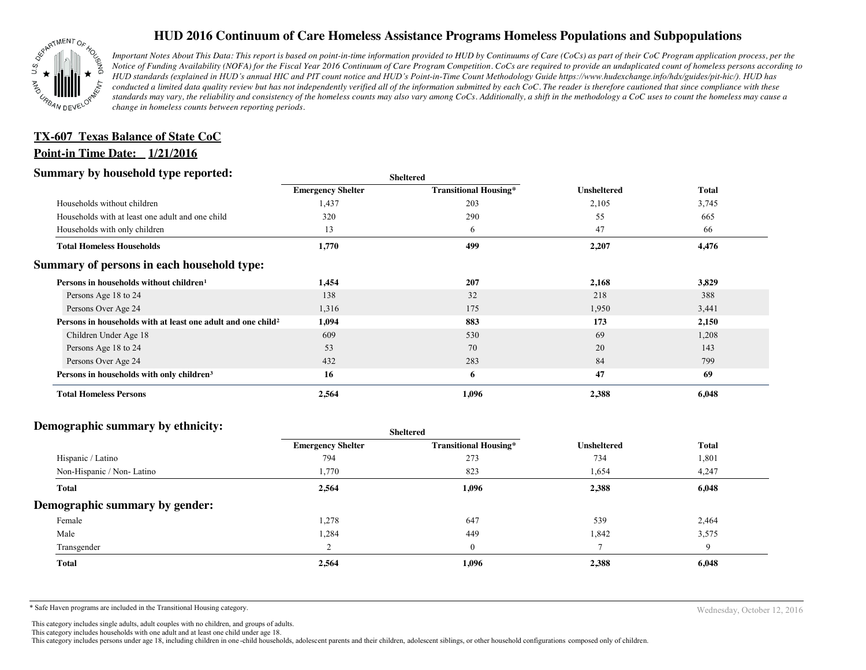

# **HUD 2016 Continuum of Care Homeless Assistance Programs Homeless Populations and Subpopulations**

*Important Notes About This Data: This report is based on point-in-time information provided to HUD by Continuums of Care (CoCs) as part of their CoC Program application process, per the Notice of Funding Availability (NOFA) for the Fiscal Year 2016 Continuum of Care Program Competition. CoCs are required to provide an unduplicated count of homeless persons according to HUD standards (explained in HUD's annual HIC and PIT count notice and HUD's Point-in-Time Count Methodology Guide https://www.hudexchange.info/hdx/guides/pit-hic/). HUD has conducted a limited data quality review but has not independently verified all of the information submitted by each CoC. The reader is therefore cautioned that since compliance with these*  standards may vary, the reliability and consistency of the homeless counts may also vary among CoCs. Additionally, a shift in the methodology a CoC uses to count the homeless may cause a *change in homeless counts between reporting periods.*

# **Point-in Time Date: 1/21/2016 TX-607 Texas Balance of State CoC**

### **Summary by household type reported:**

| эчнинагу бу почвеною туре герогіесі:                                     | <b>Sheltered</b>         |                              |                    |              |
|--------------------------------------------------------------------------|--------------------------|------------------------------|--------------------|--------------|
|                                                                          | <b>Emergency Shelter</b> | <b>Transitional Housing*</b> | <b>Unsheltered</b> | <b>Total</b> |
| Households without children                                              | 1,437                    | 203                          | 2,105              | 3,745        |
| Households with at least one adult and one child                         | 320                      | 290                          | 55                 | 665          |
| Households with only children                                            | 13                       | 6                            | 47                 | 66           |
| <b>Total Homeless Households</b>                                         | 1,770                    | 499                          | 2,207              | 4,476        |
| Summary of persons in each household type:                               |                          |                              |                    |              |
| Persons in households without children <sup>1</sup>                      | 1,454                    | 207                          | 2,168              | 3,829        |
| Persons Age 18 to 24                                                     | 138                      | 32                           | 218                | 388          |
| Persons Over Age 24                                                      | 1,316                    | 175                          | 1,950              | 3,441        |
| Persons in households with at least one adult and one child <sup>2</sup> | 1,094                    | 883                          | 173                | 2,150        |
| Children Under Age 18                                                    | 609                      | 530                          | 69                 | 1,208        |
| Persons Age 18 to 24                                                     | 53                       | 70                           | 20                 | 143          |
| Persons Over Age 24                                                      | 432                      | 283                          | 84                 | 799          |
| Persons in households with only children <sup>3</sup>                    | 16                       | 6                            | 47                 | 69           |
| <b>Total Homeless Persons</b>                                            | 2,564                    | 1,096                        | 2,388              | 6,048        |

#### **Demographic summary by ethnicity:**

| $\sim$ . The state statement $\sim$ statement $\sim$ | Sheltered                |                              |                    |              |  |
|------------------------------------------------------|--------------------------|------------------------------|--------------------|--------------|--|
|                                                      | <b>Emergency Shelter</b> | <b>Transitional Housing*</b> | <b>Unsheltered</b> | <b>Total</b> |  |
| Hispanic / Latino                                    | 794                      | 273                          | 734                | 1,801        |  |
| Non-Hispanic / Non-Latino                            | 1,770                    | 823                          | 1,654              | 4,247        |  |
| <b>Total</b>                                         | 2,564                    | 1,096                        | 2,388              | 6,048        |  |
| Demographic summary by gender:                       |                          |                              |                    |              |  |
| Female                                               | 1,278                    | 647                          | 539                | 2,464        |  |
| Male                                                 | 1,284                    | 449                          | 1,842              | 3,575        |  |
| Transgender                                          |                          | $\mathbf{0}$                 |                    | 9            |  |
| <b>Total</b>                                         | 2,564                    | 1,096                        | 2,388              | 6,048        |  |
|                                                      |                          |                              |                    |              |  |

\* Safe Haven programs are included in the Transitional Housing category. Nechaster of the Transitional Housing category.

This category includes single adults, adult couples with no children, and groups of adults.

This category includes households with one adult and at least one child under age 18.

This category includes persons under age 18, including children in one -child households, adolescent parents and their children, adolescent siblings, or other household configurations composed only of children